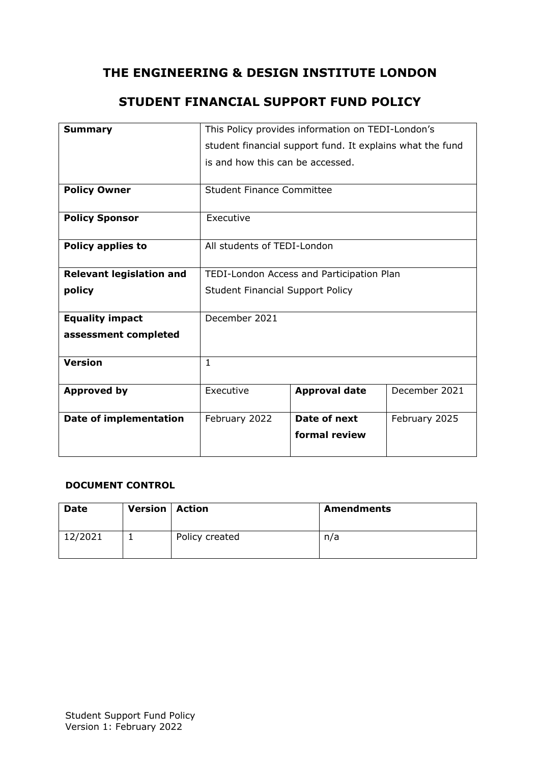# **THE ENGINEERING & DESIGN INSTITUTE LONDON**

# **STUDENT FINANCIAL SUPPORT FUND POLICY**

| <b>Summary</b>                  | This Policy provides information on TEDI-London's         |                      |               |
|---------------------------------|-----------------------------------------------------------|----------------------|---------------|
|                                 | student financial support fund. It explains what the fund |                      |               |
|                                 | is and how this can be accessed.                          |                      |               |
|                                 |                                                           |                      |               |
| <b>Policy Owner</b>             | <b>Student Finance Committee</b>                          |                      |               |
|                                 |                                                           |                      |               |
| <b>Policy Sponsor</b>           | Executive                                                 |                      |               |
|                                 |                                                           |                      |               |
| <b>Policy applies to</b>        | All students of TEDI-London                               |                      |               |
|                                 |                                                           |                      |               |
| <b>Relevant legislation and</b> | TEDI-London Access and Participation Plan                 |                      |               |
| policy                          | <b>Student Financial Support Policy</b>                   |                      |               |
|                                 |                                                           |                      |               |
| <b>Equality impact</b>          | December 2021                                             |                      |               |
| assessment completed            |                                                           |                      |               |
|                                 |                                                           |                      |               |
| <b>Version</b>                  | $\mathbf{1}$                                              |                      |               |
|                                 |                                                           |                      |               |
| <b>Approved by</b>              | Executive                                                 | <b>Approval date</b> | December 2021 |
|                                 |                                                           |                      |               |
| <b>Date of implementation</b>   | February 2022                                             | Date of next         | February 2025 |
|                                 |                                                           | formal review        |               |
|                                 |                                                           |                      |               |

#### **DOCUMENT CONTROL**

| <b>Date</b> | <b>Version   Action</b> |                | <b>Amendments</b> |
|-------------|-------------------------|----------------|-------------------|
| 12/2021     |                         | Policy created | n/a               |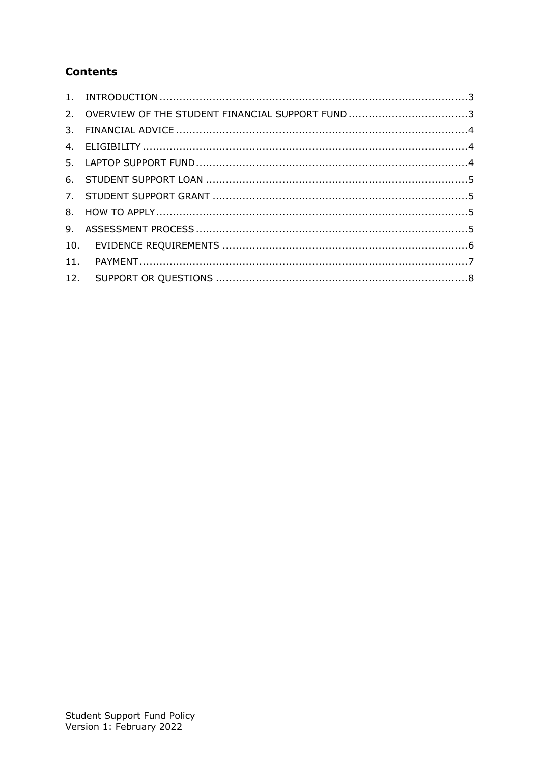# **Contents**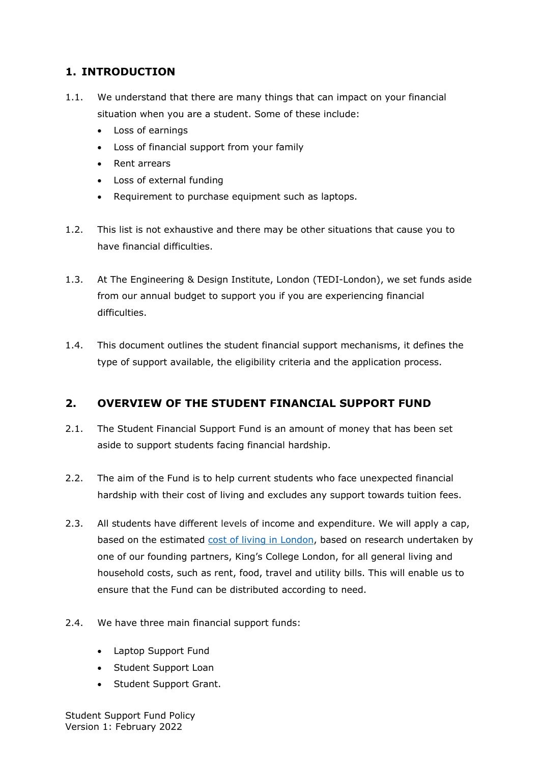### <span id="page-2-0"></span>**1. INTRODUCTION**

- 1.1. We understand that there are many things that can impact on your financial situation when you are a student. Some of these include:
	- Loss of earnings
	- Loss of financial support from your family
	- Rent arrears
	- Loss of external funding
	- Requirement to purchase equipment such as laptops.
- 1.2. This list is not exhaustive and there may be other situations that cause you to have financial difficulties.
- 1.3. At The Engineering & Design Institute, London (TEDI-London), we set funds aside from our annual budget to support you if you are experiencing financial difficulties.
- 1.4. This document outlines the student financial support mechanisms, it defines the type of support available, the eligibility criteria and the application process.

## <span id="page-2-1"></span>**2. OVERVIEW OF THE STUDENT FINANCIAL SUPPORT FUND**

- 2.1. The Student Financial Support Fund is an amount of money that has been set aside to support students facing financial hardship.
- 2.2. The aim of the Fund is to help current students who face unexpected financial hardship with their cost of living and excludes any support towards tuition fees.
- 2.3. All students have different levels of income and expenditure. We will apply a cap, based on the estimated [cost of living in London,](https://www.kcl.ac.uk/study-legacy/postgraduate/fees-and-funding/living-expenses) based on research undertaken by one of our founding partners, King's College London, for all general living and household costs, such as rent, food, travel and utility bills. This will enable us to ensure that the Fund can be distributed according to need.
- 2.4. We have three main financial support funds:
	- Laptop Support Fund
	- Student Support Loan
	- Student Support Grant.

Student Support Fund Policy Version 1: February 2022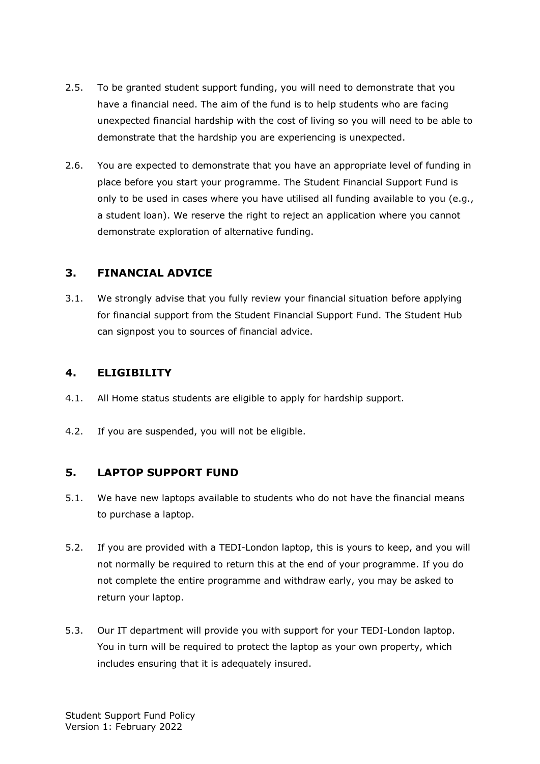- 2.5. To be granted student support funding, you will need to demonstrate that you have a financial need. The aim of the fund is to help students who are facing unexpected financial hardship with the cost of living so you will need to be able to demonstrate that the hardship you are experiencing is unexpected.
- 2.6. You are expected to demonstrate that you have an appropriate level of funding in place before you start your programme. The Student Financial Support Fund is only to be used in cases where you have utilised all funding available to you (e.g., a student loan). We reserve the right to reject an application where you cannot demonstrate exploration of alternative funding.

#### <span id="page-3-0"></span>**3. FINANCIAL ADVICE**

3.1. We strongly advise that you fully review your financial situation before applying for financial support from the Student Financial Support Fund. The Student Hub can signpost you to sources of financial advice.

### <span id="page-3-1"></span>**4. ELIGIBILITY**

- 4.1. All Home status students are eligible to apply for hardship support.
- 4.2. If you are suspended, you will not be eligible.

### <span id="page-3-2"></span>**5. LAPTOP SUPPORT FUND**

- 5.1. We have new laptops available to students who do not have the financial means to purchase a laptop.
- 5.2. If you are provided with a TEDI-London laptop, this is yours to keep, and you will not normally be required to return this at the end of your programme. If you do not complete the entire programme and withdraw early, you may be asked to return your laptop.
- 5.3. Our IT department will provide you with support for your TEDI-London laptop. You in turn will be required to protect the laptop as your own property, which includes ensuring that it is adequately insured.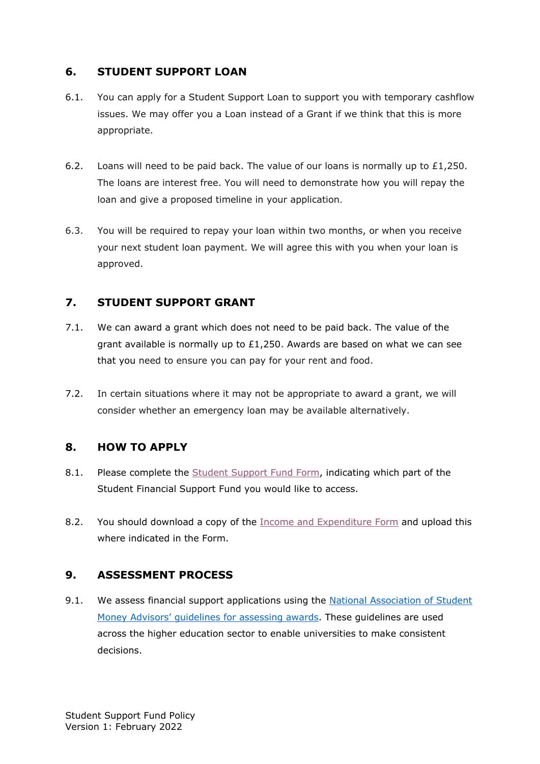#### <span id="page-4-0"></span>**6. STUDENT SUPPORT LOAN**

- 6.1. You can apply for a Student Support Loan to support you with temporary cashflow issues. We may offer you a Loan instead of a Grant if we think that this is more appropriate.
- 6.2. Loans will need to be paid back. The value of our loans is normally up to £1,250. The loans are interest free. You will need to demonstrate how you will repay the loan and give a proposed timeline in your application.
- 6.3. You will be required to repay your loan within two months, or when you receive your next student loan payment. We will agree this with you when your loan is approved.

### <span id="page-4-1"></span>**7. STUDENT SUPPORT GRANT**

- 7.1. We can award a grant which does not need to be paid back. The value of the grant available is normally up to  $£1,250$ . Awards are based on what we can see that you need to ensure you can pay for your rent and food.
- 7.2. In certain situations where it may not be appropriate to award a grant, we will consider whether an emergency loan may be available alternatively.

### <span id="page-4-2"></span>**8. HOW TO APPLY**

- 8.1. Please complete the [Student Support Fund Form,](https://forms.office.com/Pages/ResponsePage.aspx?id=yrSSLkJ_TE2qmexeAXYnIls7ygI8mN9FoJx-yoi7ZZVUREo4QzBKVEtONU5aVVZUQksySTdVREgxVS4u) indicating which part of the Student Financial Support Fund you would like to access.
- 8.2. You should download a copy of the [Income and Expenditure Form](https://tedilondon-my.sharepoint.com/:x:/g/personal/t1969221_tedi-london_ac_uk/EXo_YRpH0xhOsYCUttGCweUBCPEpJIOPcfesljebK9tLLg?e=Tj6GZK) and upload this where indicated in the Form.

### <span id="page-4-3"></span>**9. ASSESSMENT PROCESS**

9.1. We assess financial support applications using the [National Association of Student](https://www.nasma.org.uk/uploads/public/Higher_Education_Support_Fund_Guidance_2019_20.pdf)  [Money Advisors' guidelines for assessing awards.](https://www.nasma.org.uk/uploads/public/Higher_Education_Support_Fund_Guidance_2019_20.pdf) These guidelines are used across the higher education sector to enable universities to make consistent decisions.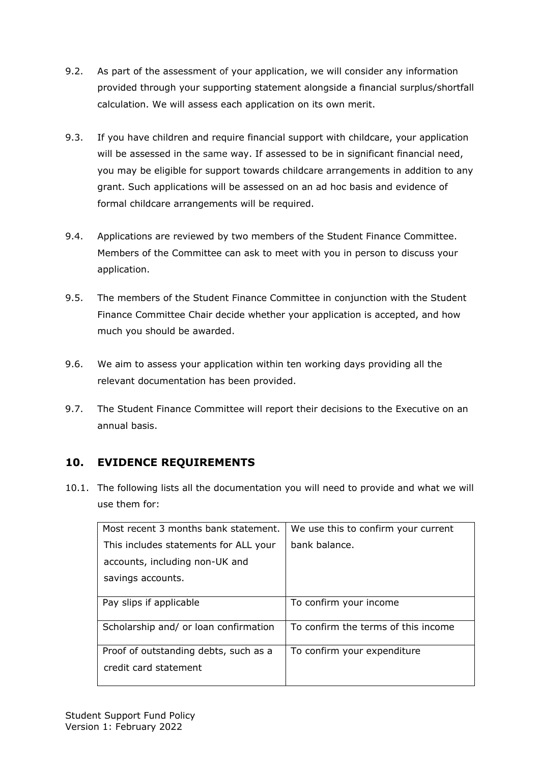- 9.2. As part of the assessment of your application, we will consider any information provided through your supporting statement alongside a financial surplus/shortfall calculation. We will assess each application on its own merit.
- 9.3. If you have children and require financial support with childcare, your application will be assessed in the same way. If assessed to be in significant financial need, you may be eligible for support towards childcare arrangements in addition to any grant. Such applications will be assessed on an ad hoc basis and evidence of formal childcare arrangements will be required.
- 9.4. Applications are reviewed by two members of the Student Finance Committee. Members of the Committee can ask to meet with you in person to discuss your application.
- 9.5. The members of the Student Finance Committee in conjunction with the Student Finance Committee Chair decide whether your application is accepted, and how much you should be awarded.
- 9.6. We aim to assess your application within ten working days providing all the relevant documentation has been provided.
- 9.7. The Student Finance Committee will report their decisions to the Executive on an annual basis.

## <span id="page-5-0"></span>**10. EVIDENCE REQUIREMENTS**

10.1. The following lists all the documentation you will need to provide and what we will use them for:

| Most recent 3 months bank statement.  | We use this to confirm your current |
|---------------------------------------|-------------------------------------|
| This includes statements for ALL your | bank balance.                       |
| accounts, including non-UK and        |                                     |
| savings accounts.                     |                                     |
|                                       |                                     |
| Pay slips if applicable               | To confirm your income              |
| Scholarship and/ or loan confirmation | To confirm the terms of this income |
| Proof of outstanding debts, such as a | To confirm your expenditure         |
| credit card statement                 |                                     |
|                                       |                                     |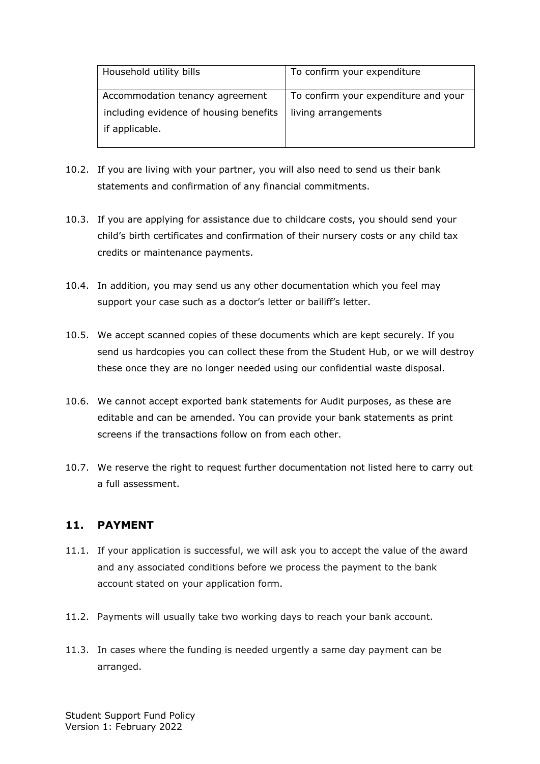| Household utility bills                | To confirm your expenditure          |  |
|----------------------------------------|--------------------------------------|--|
| Accommodation tenancy agreement        | To confirm your expenditure and your |  |
| including evidence of housing benefits | living arrangements                  |  |
| if applicable.                         |                                      |  |
|                                        |                                      |  |

- 10.2. If you are living with your partner, you will also need to send us their bank statements and confirmation of any financial commitments.
- 10.3. If you are applying for assistance due to childcare costs, you should send your child's birth certificates and confirmation of their nursery costs or any child tax credits or maintenance payments.
- 10.4. In addition, you may send us any other documentation which you feel may support your case such as a doctor's letter or bailiff's letter.
- 10.5. We accept scanned copies of these documents which are kept securely. If you send us hardcopies you can collect these from the Student Hub, or we will destroy these once they are no longer needed using our confidential waste disposal.
- 10.6. We cannot accept exported bank statements for Audit purposes, as these are editable and can be amended. You can provide your bank statements as print screens if the transactions follow on from each other.
- 10.7. We reserve the right to request further documentation not listed here to carry out a full assessment.

#### <span id="page-6-0"></span>**11. PAYMENT**

- 11.1. If your application is successful, we will ask you to accept the value of the award and any associated conditions before we process the payment to the bank account stated on your application form.
- 11.2. Payments will usually take two working days to reach your bank account.
- 11.3. In cases where the funding is needed urgently a same day payment can be arranged.